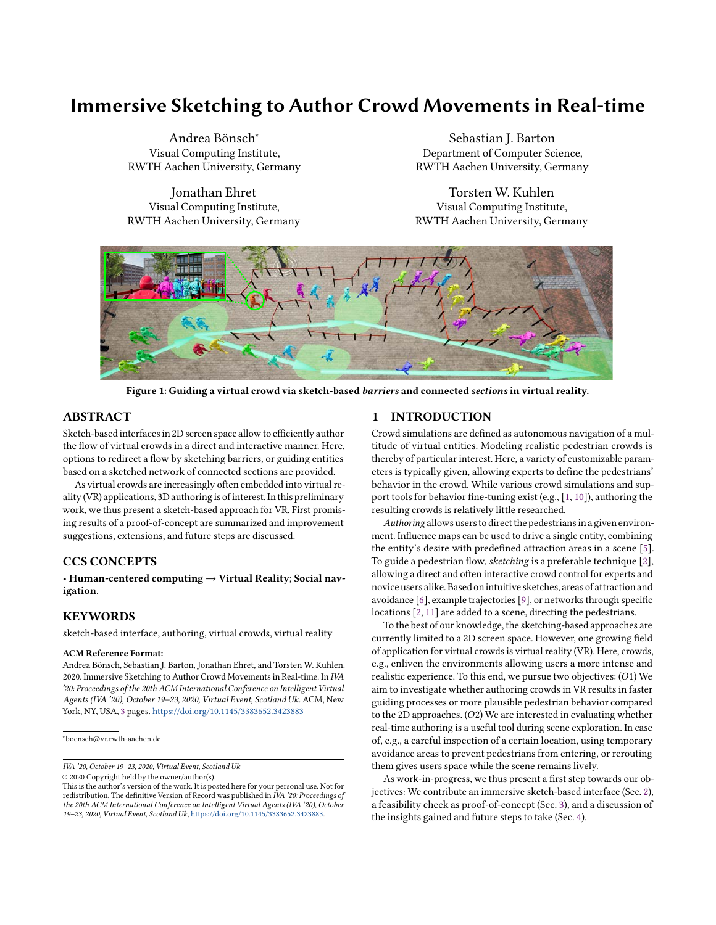# Immersive Sketching to Author Crowd Movements in Real-time

Andrea Bönsch<sup>∗</sup> Visual Computing Institute, RWTH Aachen University, Germany

Jonathan Ehret Visual Computing Institute, RWTH Aachen University, Germany

Sebastian J. Barton Department of Computer Science, RWTH Aachen University, Germany

Torsten W. Kuhlen Visual Computing Institute, RWTH Aachen University, Germany

<span id="page-0-0"></span>

Figure 1: Guiding a virtual crowd via sketch-based barriers and connected sections in virtual reality.

#### ABSTRACT

Sketch-based interfaces in 2D screen space allow to efficiently author the flow of virtual crowds in a direct and interactive manner. Here, options to redirect a flow by sketching barriers, or guiding entities based on a sketched network of connected sections are provided.

As virtual crowds are increasingly often embedded into virtual reality(VR) applications, 3D authoring is of interest.In this preliminary work, we thus present a sketch-based approach for VR. First promising results of a proof-of-concept are summarized and improvement suggestions, extensions, and future steps are discussed.

# CCS CONCEPTS

• Human-centered computing → Virtual Reality; Social navigation.

## **KEYWORDS**

sketch-based interface, authoring, virtual crowds, virtual reality

#### ACM Reference Format:

Andrea Bönsch, Sebastian J. Barton, Jonathan Ehret, and Torsten W. Kuhlen. 2020. Immersive Sketching to Author Crowd Movements in Real-time. In IVA '20: Proceedings of the 20th ACM International Conference on Intelligent Virtual Agents (IVA '20), October 19–23, 2020, Virtual Event, Scotland Uk. ACM, New York, NY, USA, [3](#page-2-0) pages. <https://doi.org/10.1145/3383652.3423883>

∗ boensch@vr.rwth-aachen.de

© 2020 Copyright held by the owner/author(s).

#### 1 INTRODUCTION

Crowd simulations are defined as autonomous navigation of a multitude of virtual entities. Modeling realistic pedestrian crowds is thereby of particular interest. Here, a variety of customizable parameters is typically given, allowing experts to define the pedestrians' behavior in the crowd. While various crowd simulations and support tools for behavior fine-tuning exist (e.g., [\[1,](#page-2-1) [10\]](#page-2-2)), authoring the resulting crowds is relatively little researched.

Authoring allows users to direct the pedestrians in a given environment. Influence maps can be used to drive a single entity, combining the entity's desire with predefined attraction areas in a scene [\[5\]](#page-2-3). To guide a pedestrian flow, sketching is a preferable technique [\[2\]](#page-2-4), allowing a direct and often interactive crowd control for experts and novice users alike. Based on intuitive sketches, areas of attraction and avoidance [\[6\]](#page-2-5), example trajectories [\[9\]](#page-2-6), or networks through specific locations [\[2,](#page-2-4) [11\]](#page-2-7) are added to a scene, directing the pedestrians.

To the best of our knowledge, the sketching-based approaches are currently limited to a 2D screen space. However, one growing field of application for virtual crowds is virtual reality (VR). Here, crowds, e.g., enliven the environments allowing users a more intense and realistic experience. To this end, we pursue two objectives:  $(O1)$  We aim to investigate whether authoring crowds in VR results in faster guiding processes or more plausible pedestrian behavior compared to the 2D approaches.  $(O2)$  We are interested in evaluating whether real-time authoring is a useful tool during scene exploration. In case of, e.g., a careful inspection of a certain location, using temporary avoidance areas to prevent pedestrians from entering, or rerouting them gives users space while the scene remains lively.

As work-in-progress, we thus present a first step towards our objectives: We contribute an immersive sketch-based interface (Sec. [2\)](#page-1-0), a feasibility check as proof-of-concept (Sec. [3\)](#page-1-1), and a discussion of the insights gained and future steps to take (Sec. [4\)](#page-2-8).

IVA '20, October 19–23, 2020, Virtual Event, Scotland Uk

This is the author's version of the work. It is posted here for your personal use. Not for redistribution. The definitive Version of Record was published in IVA '20: Proceedings of the 20th ACM International Conference on Intelligent Virtual Agents (IVA '20), October 19–23, 2020, Virtual Event, Scotland Uk, [https://doi.org/10.1145/3383652.3423883.](https://doi.org/10.1145/3383652.3423883)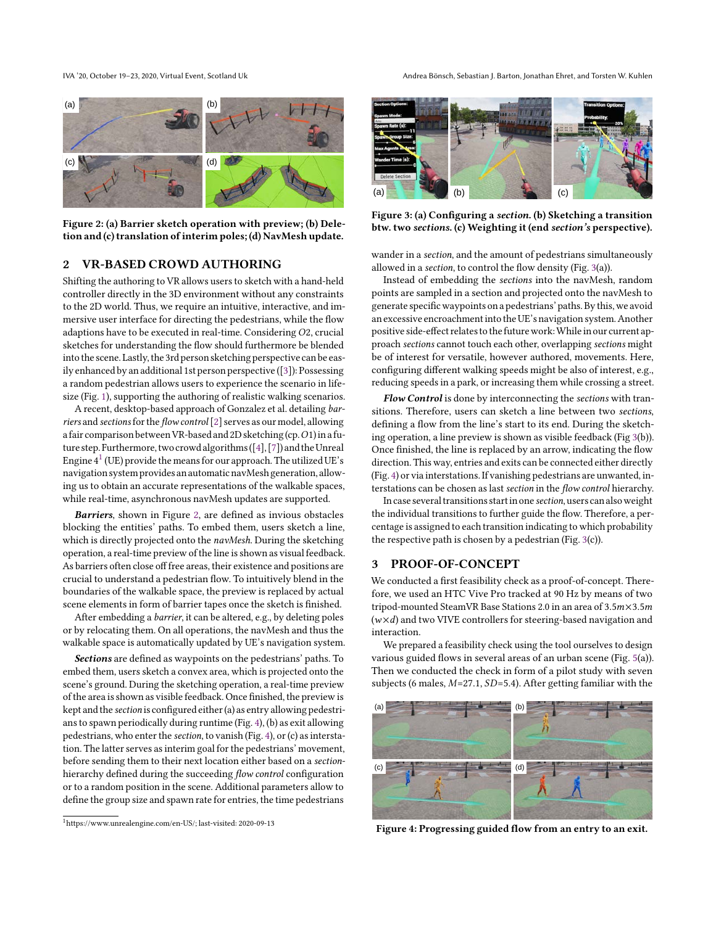<span id="page-1-3"></span>

Figure 2: (a) Barrier sketch operation with preview; (b) Deletion and (c) translation of interim poles; (d) NavMesh update.

#### <span id="page-1-0"></span>2 VR-BASED CROWD AUTHORING

Shifting the authoring to VR allows users to sketch with a hand-held controller directly in the 3D environment without any constraints to the 2D world. Thus, we require an intuitive, interactive, and immersive user interface for directing the pedestrians, while the flow adaptions have to be executed in real-time. Considering  $O2$ , crucial sketches for understanding the flow should furthermore be blended into the scene. Lastly, the 3rd person sketching perspective can be easily enhanced by an additional 1st person perspective([\[3\]](#page-2-9)): Possessing a random pedestrian allows users to experience the scenario in lifesize (Fig. [1\)](#page-0-0), supporting the authoring of realistic walking scenarios.

A recent, desktop-based approach of Gonzalez et al. detailing barriers and sectionsfor the flow control [\[2\]](#page-2-4) serves as our model, allowing a fair comparison between VR-based and 2D sketching (cp. O1) in a fu-ture step. Furthermore, two crowd algorithms ([\[4\]](#page-2-10), [\[7\]](#page-2-11)) and the Unreal Engine  $4^1$  $4^1$  (UE) provide the means for our approach. The utilized UE's navigation system provides an automatic navMesh generation, allowing us to obtain an accurate representations of the walkable spaces, while real-time, asynchronous navMesh updates are supported.

Barriers, shown in Figure [2,](#page-1-3) are defined as invious obstacles blocking the entities' paths. To embed them, users sketch a line, which is directly projected onto the navMesh. During the sketching operation, a real-time preview of the line is shown as visual feedback. As barriers often close off free areas, their existence and positions are crucial to understand a pedestrian flow. To intuitively blend in the boundaries of the walkable space, the preview is replaced by actual scene elements in form of barrier tapes once the sketch is finished.

After embedding a barrier, it can be altered, e.g., by deleting poles or by relocating them. On all operations, the navMesh and thus the walkable space is automatically updated by UE's navigation system.

Sections are defined as waypoints on the pedestrians' paths. To embed them, users sketch a convex area, which is projected onto the scene's ground. During the sketching operation, a real-time preview of the area is shown as visible feedback. Once finished, the preview is kept and the section is configured either(a) as entry allowing pedestrians to spawn periodically during runtime (Fig. [4\)](#page-1-4), (b) as exit allowing pedestrians, who enter the section, to vanish (Fig. [4\)](#page-1-4), or (c) as interstation. The latter serves as interim goal for the pedestrians' movement, before sending them to their next location either based on a sectionhierarchy defined during the succeeding flow control configuration or to a random position in the scene. Additional parameters allow to define the group size and spawn rate for entries, the time pedestrians **Figure 2: 6)** That is the the measure of the two states in the measure of the control of the states of the states of the states of the states of the states of the states of the states of the states of the states of the

IVA '20, October 19-23, 2020, Virtual Event, Scotland Uk Andrea Bönsch, Sebastian J. Barton, Jonathan Ehret, and Torsten W. Kuhlen

<span id="page-1-5"></span>

Figure 3: (a) Configuring a section. (b) Sketching a transition btw. two sections. (c) Weighting it (end section's perspective).

wander in a section, and the amount of pedestrians simultaneously allowed in a section, to control the flow density (Fig. [3\(](#page-1-5)a)).

Instead of embedding the sections into the navMesh, random points are sampled in a section and projected onto the navMesh to generate specific waypoints on a pedestrians' paths. By this, we avoid an excessive encroachment into the UE's navigation system. Another positive side-effect relates to the future work: While in our current approach sections cannot touch each other, overlapping sections might be of interest for versatile, however authored, movements. Here, configuring different walking speeds might be also of interest, e.g., reducing speeds in a park, or increasing them while crossing a street.

Flow Control is done by interconnecting the sections with transitions. Therefore, users can sketch a line between two sections, defining a flow from the line's start to its end. During the sketching operation, a line preview is shown as visible feedback (Fig [3\(](#page-1-5)b)). Once finished, the line is replaced by an arrow, indicating the flow direction. This way, entries and exits can be connected either directly (Fig. [4\)](#page-1-4) or via interstations. If vanishing pedestrians are unwanted, interstations can be chosen as last section in the flow control hierarchy.

In case several transitions startin one section, users can alsoweight the individual transitions to further guide the flow. Therefore, a percentage is assigned to each transition indicating to which probability the respective path is chosen by a pedestrian (Fig. [3\(](#page-1-5)c)).

#### <span id="page-1-1"></span>3 PROOF-OF-CONCEPT

We conducted a first feasibility check as a proof-of-concept. Therefore, we used an HTC Vive Pro tracked at 90 Hz by means of two tripod-mounted SteamVR Base Stations 2.0 in an area of  $3.5m \times 3.5m$  $(w \times d)$  and two VIVE controllers for steering-based navigation and interaction.

We prepared a feasibility check using the tool ourselves to design various guided flows in several areas of an urban scene (Fig. [5\(](#page-2-12)a)). Then we conducted the check in form of a pilot study with seven subjects (6 males,  $M=27.1$ ,  $SD=5.4$ ). After getting familiar with the

<span id="page-1-4"></span>

Figure 4: Progressing guided flow from an entry to an exit.

<span id="page-1-2"></span>